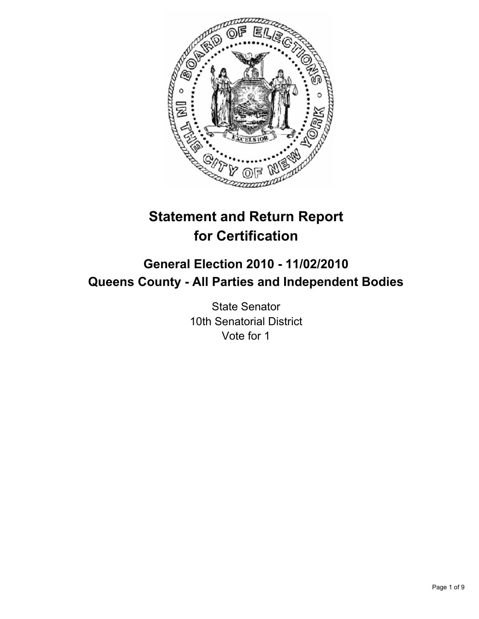

# **Statement and Return Report for Certification**

# **General Election 2010 - 11/02/2010 Queens County - All Parties and Independent Bodies**

State Senator 10th Senatorial District Vote for 1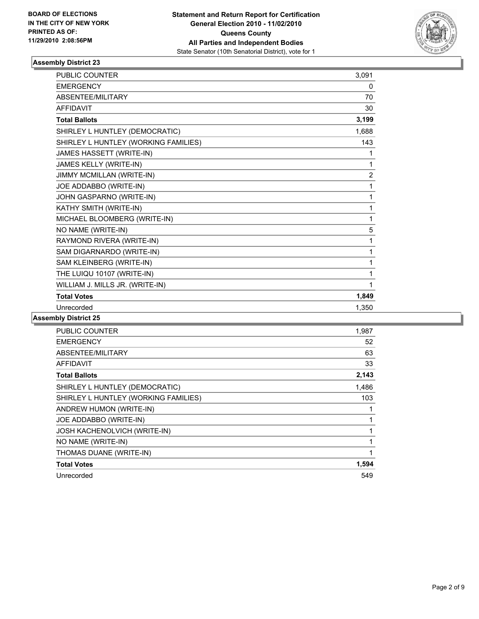

| <b>PUBLIC COUNTER</b>                | 3,091          |
|--------------------------------------|----------------|
| <b>EMERGENCY</b>                     | 0              |
| ABSENTEE/MILITARY                    | 70             |
| <b>AFFIDAVIT</b>                     | 30             |
| <b>Total Ballots</b>                 | 3,199          |
| SHIRLEY L HUNTLEY (DEMOCRATIC)       | 1,688          |
| SHIRLEY L HUNTLEY (WORKING FAMILIES) | 143            |
| JAMES HASSETT (WRITE-IN)             | 1              |
| JAMES KELLY (WRITE-IN)               | 1              |
| JIMMY MCMILLAN (WRITE-IN)            | $\overline{2}$ |
| JOE ADDABBO (WRITE-IN)               | 1              |
| JOHN GASPARNO (WRITE-IN)             | 1              |
| KATHY SMITH (WRITE-IN)               | 1              |
| MICHAEL BLOOMBERG (WRITE-IN)         | 1              |
| NO NAME (WRITE-IN)                   | 5              |
| RAYMOND RIVERA (WRITE-IN)            | 1              |
| SAM DIGARNARDO (WRITE-IN)            | 1              |
| SAM KLEINBERG (WRITE-IN)             | 1              |
| THE LUIQU 10107 (WRITE-IN)           | 1              |
| WILLIAM J. MILLS JR. (WRITE-IN)      | 1              |
| <b>Total Votes</b>                   | 1,849          |
| Unrecorded                           | 1.350          |

| <b>PUBLIC COUNTER</b>                | 1,987 |
|--------------------------------------|-------|
| <b>EMERGENCY</b>                     | 52    |
| ABSENTEE/MILITARY                    | 63    |
| <b>AFFIDAVIT</b>                     | 33    |
| <b>Total Ballots</b>                 | 2,143 |
| SHIRLEY L HUNTLEY (DEMOCRATIC)       | 1,486 |
| SHIRLEY L HUNTLEY (WORKING FAMILIES) | 103   |
| ANDREW HUMON (WRITE-IN)              |       |
| JOE ADDABBO (WRITE-IN)               |       |
| <b>JOSH KACHENOLVICH (WRITE-IN)</b>  | 1     |
| NO NAME (WRITE-IN)                   |       |
| THOMAS DUANE (WRITE-IN)              | 1     |
| <b>Total Votes</b>                   | 1,594 |
| Unrecorded                           | 549   |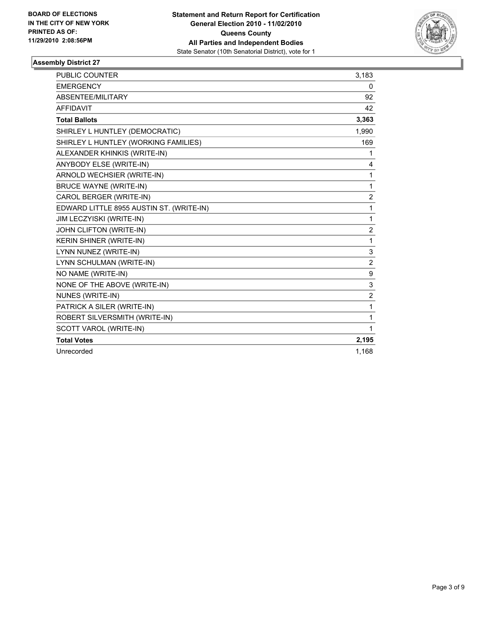

| <b>PUBLIC COUNTER</b>                    | 3,183          |
|------------------------------------------|----------------|
| <b>EMERGENCY</b>                         | 0              |
| ABSENTEE/MILITARY                        | 92             |
| <b>AFFIDAVIT</b>                         | 42             |
| <b>Total Ballots</b>                     | 3,363          |
| SHIRLEY L HUNTLEY (DEMOCRATIC)           | 1,990          |
| SHIRLEY L HUNTLEY (WORKING FAMILIES)     | 169            |
| ALEXANDER KHINKIS (WRITE-IN)             | $\mathbf{1}$   |
| ANYBODY ELSE (WRITE-IN)                  | 4              |
| ARNOLD WECHSIER (WRITE-IN)               | 1              |
| <b>BRUCE WAYNE (WRITE-IN)</b>            | 1              |
| CAROL BERGER (WRITE-IN)                  | $\overline{2}$ |
| EDWARD LITTLE 8955 AUSTIN ST. (WRITE-IN) | 1              |
| JIM LECZYISKI (WRITE-IN)                 | 1              |
| JOHN CLIFTON (WRITE-IN)                  | $\overline{c}$ |
| <b>KERIN SHINER (WRITE-IN)</b>           | 1              |
| LYNN NUNEZ (WRITE-IN)                    | 3              |
| LYNN SCHULMAN (WRITE-IN)                 | 2              |
| NO NAME (WRITE-IN)                       | 9              |
| NONE OF THE ABOVE (WRITE-IN)             | 3              |
| NUNES (WRITE-IN)                         | $\overline{2}$ |
| PATRICK A SILER (WRITE-IN)               | 1              |
| ROBERT SILVERSMITH (WRITE-IN)            | 1              |
| SCOTT VAROL (WRITE-IN)                   | 1              |
| <b>Total Votes</b>                       | 2,195          |
| Unrecorded                               | 1.168          |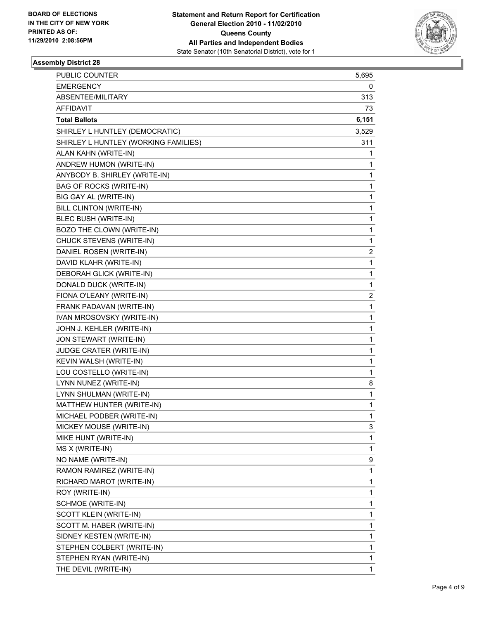

| PUBLIC COUNTER                       | 5,695 |
|--------------------------------------|-------|
| <b>EMERGENCY</b>                     | 0     |
| ABSENTEE/MILITARY                    | 313   |
| <b>AFFIDAVIT</b>                     | 73    |
| <b>Total Ballots</b>                 | 6,151 |
| SHIRLEY L HUNTLEY (DEMOCRATIC)       | 3,529 |
| SHIRLEY L HUNTLEY (WORKING FAMILIES) | 311   |
| ALAN KAHN (WRITE-IN)                 | 1     |
| ANDREW HUMON (WRITE-IN)              | 1     |
| ANYBODY B. SHIRLEY (WRITE-IN)        | 1     |
| <b>BAG OF ROCKS (WRITE-IN)</b>       | 1     |
| BIG GAY AL (WRITE-IN)                | 1     |
| BILL CLINTON (WRITE-IN)              | 1     |
| BLEC BUSH (WRITE-IN)                 | 1     |
| BOZO THE CLOWN (WRITE-IN)            | 1     |
| CHUCK STEVENS (WRITE-IN)             | 1     |
| DANIEL ROSEN (WRITE-IN)              | 2     |
| DAVID KLAHR (WRITE-IN)               | 1     |
| DEBORAH GLICK (WRITE-IN)             | 1     |
| DONALD DUCK (WRITE-IN)               | 1     |
| FIONA O'LEANY (WRITE-IN)             | 2     |
| FRANK PADAVAN (WRITE-IN)             | 1     |
| IVAN MROSOVSKY (WRITE-IN)            | 1     |
| JOHN J. KEHLER (WRITE-IN)            | 1     |
| JON STEWART (WRITE-IN)               | 1     |
| JUDGE CRATER (WRITE-IN)              | 1     |
| KEVIN WALSH (WRITE-IN)               | 1     |
| LOU COSTELLO (WRITE-IN)              | 1     |
| LYNN NUNEZ (WRITE-IN)                | 8     |
| LYNN SHULMAN (WRITE-IN)              | 1     |
| MATTHEW HUNTER (WRITE-IN)            | 1     |
| MICHAEL PODBER (WRITE-IN)            | 1     |
| MICKEY MOUSE (WRITE-IN)              | 3     |
| MIKE HUNT (WRITE-IN)                 | 1     |
| MS X (WRITE-IN)                      | 1     |
| NO NAME (WRITE-IN)                   | 9     |
| RAMON RAMIREZ (WRITE-IN)             | 1     |
| RICHARD MAROT (WRITE-IN)             | 1     |
| ROY (WRITE-IN)                       | 1     |
| SCHMOE (WRITE-IN)                    | 1     |
| SCOTT KLEIN (WRITE-IN)               | 1     |
| SCOTT M. HABER (WRITE-IN)            | 1     |
| SIDNEY KESTEN (WRITE-IN)             | 1     |
| STEPHEN COLBERT (WRITE-IN)           | 1     |
| STEPHEN RYAN (WRITE-IN)              | 1     |
| THE DEVIL (WRITE-IN)                 | 1     |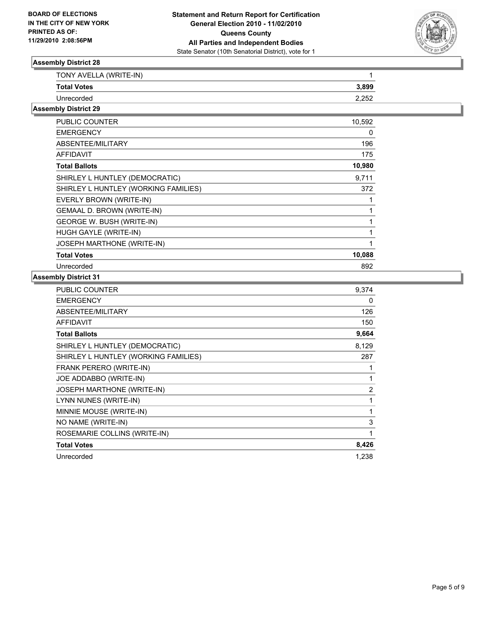

| TONY AVELLA (WRITE-IN) |       |
|------------------------|-------|
| <b>Total Votes</b>     | 3.899 |
| Unrecorded             | ראר ר |

#### **Assembly District 29**

| <b>PUBLIC COUNTER</b>                | 10,592 |
|--------------------------------------|--------|
| <b>EMERGENCY</b>                     | 0      |
| ABSENTEE/MILITARY                    | 196    |
| <b>AFFIDAVIT</b>                     | 175    |
| <b>Total Ballots</b>                 | 10,980 |
| SHIRLEY L HUNTLEY (DEMOCRATIC)       | 9,711  |
| SHIRLEY L HUNTLEY (WORKING FAMILIES) | 372    |
| EVERLY BROWN (WRITE-IN)              |        |
| <b>GEMAAL D. BROWN (WRITE-IN)</b>    |        |
| GEORGE W. BUSH (WRITE-IN)            |        |
| HUGH GAYLE (WRITE-IN)                |        |
| <b>JOSEPH MARTHONE (WRITE-IN)</b>    |        |
| <b>Total Votes</b>                   | 10,088 |
| Unrecorded                           | 892    |

| PUBLIC COUNTER                       | 9.374 |
|--------------------------------------|-------|
| <b>EMERGENCY</b>                     | 0     |
| ABSENTEE/MILITARY                    | 126   |
| <b>AFFIDAVIT</b>                     | 150   |
| <b>Total Ballots</b>                 | 9,664 |
| SHIRLEY L HUNTLEY (DEMOCRATIC)       | 8,129 |
| SHIRLEY L HUNTLEY (WORKING FAMILIES) | 287   |
| FRANK PERERO (WRITE-IN)              | 1     |
| JOE ADDABBO (WRITE-IN)               | 1     |
| <b>JOSEPH MARTHONE (WRITE-IN)</b>    | 2     |
| LYNN NUNES (WRITE-IN)                | 1     |
| MINNIE MOUSE (WRITE-IN)              | 1     |
| NO NAME (WRITE-IN)                   | 3     |
| ROSEMARIE COLLINS (WRITE-IN)         | 1     |
| <b>Total Votes</b>                   | 8,426 |
| Unrecorded                           | 1,238 |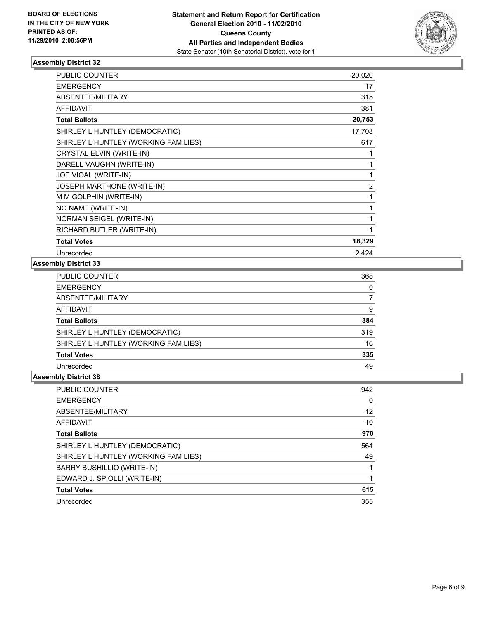

| <b>PUBLIC COUNTER</b>                | 20,020         |
|--------------------------------------|----------------|
| <b>EMERGENCY</b>                     | 17             |
| ABSENTEE/MILITARY                    | 315            |
| <b>AFFIDAVIT</b>                     | 381            |
| <b>Total Ballots</b>                 | 20,753         |
| SHIRLEY L HUNTLEY (DEMOCRATIC)       | 17,703         |
| SHIRLEY L HUNTLEY (WORKING FAMILIES) | 617            |
| CRYSTAL ELVIN (WRITE-IN)             | 1              |
| DARELL VAUGHN (WRITE-IN)             | 1              |
| JOE VIOAL (WRITE-IN)                 | 1              |
| <b>JOSEPH MARTHONE (WRITE-IN)</b>    | $\overline{2}$ |
| M M GOLPHIN (WRITE-IN)               | 1              |
| NO NAME (WRITE-IN)                   | 1              |
| NORMAN SEIGEL (WRITE-IN)             | 1              |
| RICHARD BUTLER (WRITE-IN)            | 1              |
| <b>Total Votes</b>                   | 18,329         |
| Unrecorded                           | 2,424          |

### **Assembly District 33**

| <b>PUBLIC COUNTER</b>                | 368 |
|--------------------------------------|-----|
| <b>EMERGENCY</b>                     | 0   |
| ABSENTEE/MILITARY                    |     |
| <b>AFFIDAVIT</b>                     | 9   |
| <b>Total Ballots</b>                 | 384 |
| SHIRLEY L HUNTLEY (DEMOCRATIC)       | 319 |
| SHIRLEY L HUNTLEY (WORKING FAMILIES) | 16  |
| <b>Total Votes</b>                   | 335 |
| Unrecorded                           | 49  |

| <b>PUBLIC COUNTER</b>                | 942 |
|--------------------------------------|-----|
| <b>EMERGENCY</b>                     | 0   |
| ABSENTEE/MILITARY                    | 12  |
| AFFIDAVIT                            | 10  |
| <b>Total Ballots</b>                 | 970 |
| SHIRLEY L HUNTLEY (DEMOCRATIC)       | 564 |
| SHIRLEY L HUNTLEY (WORKING FAMILIES) | 49  |
| BARRY BUSHILLIO (WRITE-IN)           |     |
| EDWARD J. SPIOLLI (WRITE-IN)         |     |
| <b>Total Votes</b>                   | 615 |
| Unrecorded                           | 355 |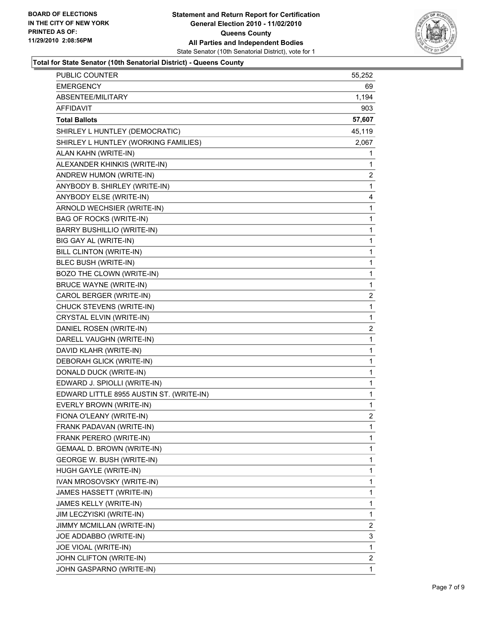

#### **Total for State Senator (10th Senatorial District) - Queens County**

| <b>PUBLIC COUNTER</b>                    | 55,252         |
|------------------------------------------|----------------|
| <b>EMERGENCY</b>                         | 69             |
| ABSENTEE/MILITARY                        | 1,194          |
| AFFIDAVIT                                | 903            |
| <b>Total Ballots</b>                     | 57,607         |
| SHIRLEY L HUNTLEY (DEMOCRATIC)           | 45,119         |
| SHIRLEY L HUNTLEY (WORKING FAMILIES)     | 2,067          |
| ALAN KAHN (WRITE-IN)                     | 1              |
| ALEXANDER KHINKIS (WRITE-IN)             | 1              |
| ANDREW HUMON (WRITE-IN)                  | 2              |
| ANYBODY B. SHIRLEY (WRITE-IN)            | 1              |
| ANYBODY ELSE (WRITE-IN)                  | 4              |
| ARNOLD WECHSIER (WRITE-IN)               | 1              |
| <b>BAG OF ROCKS (WRITE-IN)</b>           | 1              |
| <b>BARRY BUSHILLIO (WRITE-IN)</b>        | 1              |
| BIG GAY AL (WRITE-IN)                    | 1              |
| BILL CLINTON (WRITE-IN)                  | 1              |
| BLEC BUSH (WRITE-IN)                     | 1              |
| BOZO THE CLOWN (WRITE-IN)                | 1              |
| <b>BRUCE WAYNE (WRITE-IN)</b>            | 1              |
| CAROL BERGER (WRITE-IN)                  | 2              |
| CHUCK STEVENS (WRITE-IN)                 | 1              |
| CRYSTAL ELVIN (WRITE-IN)                 | 1              |
| DANIEL ROSEN (WRITE-IN)                  | 2              |
| DARELL VAUGHN (WRITE-IN)                 | 1              |
| DAVID KLAHR (WRITE-IN)                   | 1              |
| DEBORAH GLICK (WRITE-IN)                 | 1              |
| DONALD DUCK (WRITE-IN)                   | 1              |
| EDWARD J. SPIOLLI (WRITE-IN)             | 1              |
| EDWARD LITTLE 8955 AUSTIN ST. (WRITE-IN) | 1              |
| EVERLY BROWN (WRITE-IN)                  | 1              |
| FIONA O'LEANY (WRITE-IN)                 | $\overline{2}$ |
| FRANK PADAVAN (WRITE-IN)                 | 1              |
| FRANK PERERO (WRITE-IN)                  | 1              |
| GEMAAL D. BROWN (WRITE-IN)               | 1              |
| GEORGE W. BUSH (WRITE-IN)                | 1              |
| HUGH GAYLE (WRITE-IN)                    | 1              |
| IVAN MROSOVSKY (WRITE-IN)                | 1              |
| JAMES HASSETT (WRITE-IN)                 | 1              |
| JAMES KELLY (WRITE-IN)                   | 1              |
| JIM LECZYISKI (WRITE-IN)                 | 1              |
| JIMMY MCMILLAN (WRITE-IN)                | 2              |
| JOE ADDABBO (WRITE-IN)                   | 3              |
| JOE VIOAL (WRITE-IN)                     | 1              |
| JOHN CLIFTON (WRITE-IN)                  | 2              |
| JOHN GASPARNO (WRITE-IN)                 | 1              |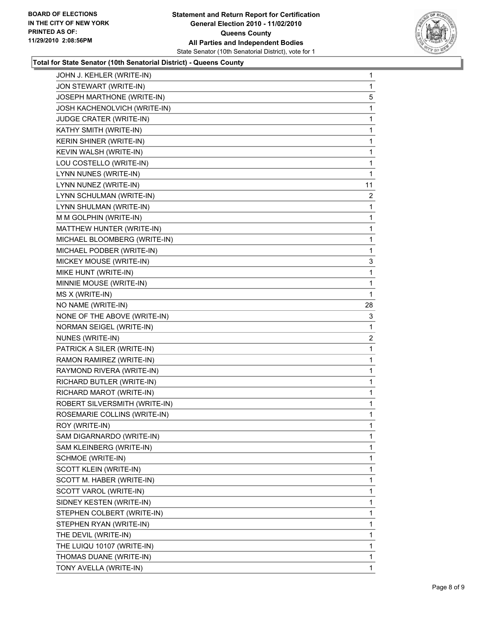

#### **Total for State Senator (10th Senatorial District) - Queens County**

| JOHN J. KEHLER (WRITE-IN)     | 1            |
|-------------------------------|--------------|
| JON STEWART (WRITE-IN)        | 1            |
| JOSEPH MARTHONE (WRITE-IN)    | 5            |
| JOSH KACHENOLVICH (WRITE-IN)  | 1            |
| JUDGE CRATER (WRITE-IN)       | 1            |
| KATHY SMITH (WRITE-IN)        | 1            |
| KERIN SHINER (WRITE-IN)       | 1            |
| KEVIN WALSH (WRITE-IN)        | 1            |
| LOU COSTELLO (WRITE-IN)       | 1            |
| LYNN NUNES (WRITE-IN)         | 1            |
| LYNN NUNEZ (WRITE-IN)         | 11           |
| LYNN SCHULMAN (WRITE-IN)      | 2            |
| LYNN SHULMAN (WRITE-IN)       | 1            |
| M M GOLPHIN (WRITE-IN)        | 1            |
| MATTHEW HUNTER (WRITE-IN)     | 1            |
| MICHAEL BLOOMBERG (WRITE-IN)  | 1            |
| MICHAEL PODBER (WRITE-IN)     | 1            |
| MICKEY MOUSE (WRITE-IN)       | 3            |
| MIKE HUNT (WRITE-IN)          | 1            |
| MINNIE MOUSE (WRITE-IN)       | 1            |
| MS X (WRITE-IN)               | 1            |
| NO NAME (WRITE-IN)            | 28           |
| NONE OF THE ABOVE (WRITE-IN)  | 3            |
| NORMAN SEIGEL (WRITE-IN)      | 1            |
| NUNES (WRITE-IN)              | $\mathbf{2}$ |
| PATRICK A SILER (WRITE-IN)    | 1            |
| RAMON RAMIREZ (WRITE-IN)      | 1            |
| RAYMOND RIVERA (WRITE-IN)     | 1            |
| RICHARD BUTLER (WRITE-IN)     | 1            |
| RICHARD MAROT (WRITE-IN)      | 1            |
| ROBERT SILVERSMITH (WRITE-IN) | 1            |
| ROSEMARIE COLLINS (WRITE-IN)  | 1            |
| ROY (WRITE-IN)                | 1            |
| SAM DIGARNARDO (WRITE-IN)     | 1            |
| SAM KLEINBERG (WRITE-IN)      | 1            |
| SCHMOE (WRITE-IN)             | 1            |
| SCOTT KLEIN (WRITE-IN)        | 1            |
| SCOTT M. HABER (WRITE-IN)     | 1            |
| SCOTT VAROL (WRITE-IN)        | 1            |
| SIDNEY KESTEN (WRITE-IN)      | 1            |
| STEPHEN COLBERT (WRITE-IN)    | 1            |
| STEPHEN RYAN (WRITE-IN)       | 1            |
| THE DEVIL (WRITE-IN)          | 1            |
| THE LUIQU 10107 (WRITE-IN)    | 1            |
| THOMAS DUANE (WRITE-IN)       | 1            |
| TONY AVELLA (WRITE-IN)        | 1            |
|                               |              |